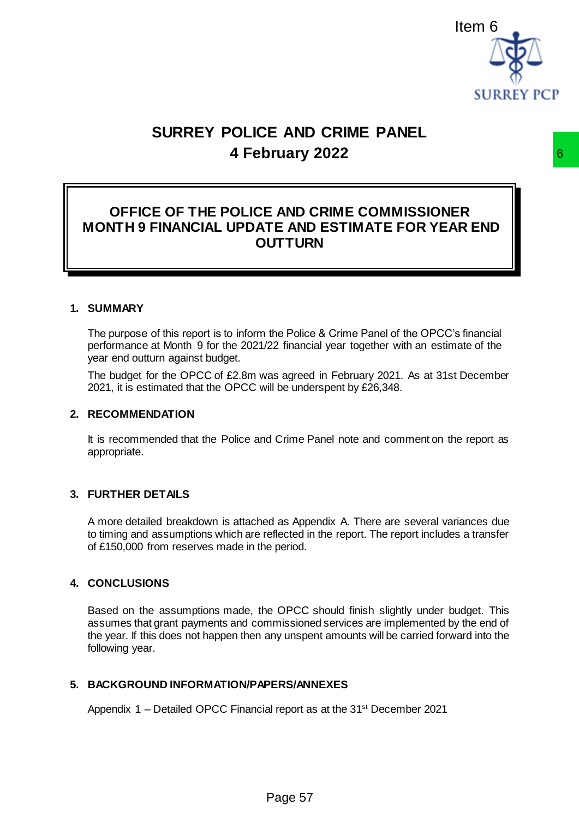

# **SURREY POLICE AND CRIME PANEL 4 February 2022**

### **OFFICE OF THE POLICE AND CRIME COMMISSIONER MONTH 9 FINANCIAL UPDATE AND ESTIMATE FOR YEAR END OUTTURN**

#### **1. SUMMARY**

The purpose of this report is to inform the Police & Crime Panel of the OPCC's financial performance at Month 9 for the 2021/22 financial year together with an estimate of the year end outturn against budget.

The budget for the OPCC of £2.8m was agreed in February 2021. As at 31st December 2021, it is estimated that the OPCC will be underspent by £26,348.

#### **2. RECOMMENDATION**

It is recommended that the Police and Crime Panel note and comment on the report as appropriate.

#### **3. FURTHER DETAILS**

A more detailed breakdown is attached as Appendix A. There are several variances due to timing and assumptions which are reflected in the report. The report includes a transfer of £150,000 from reserves made in the period.

#### **4. CONCLUSIONS**

Based on the assumptions made, the OPCC should finish slightly under budget. This assumes that grant payments and commissioned services are implemented by the end of the year. If this does not happen then any unspent amounts will be carried forward into the following year. **EXECUTE COMMISSIONER**<br> **EXECUTE COMMISSIONER**<br> **EXECUTE AND ESTIMATE FOR YEAR END<br>
UITTURN**<br>
the Police & Crime Panel of the OPCC's financial<br>
22 financial year together with an estimate of the<br>
as agreed in February 2021

#### **5. BACKGROUND INFORMATION/PAPERS/ANNEXES**

Appendix 1 – Detailed OPCC Financial report as at the 31<sup>st</sup> December 2021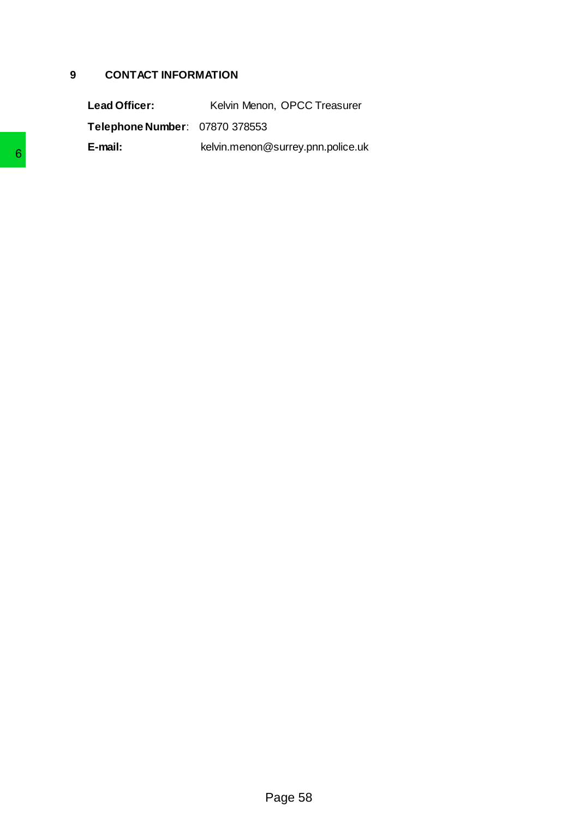#### **9 CONTACT INFORMATION**

Lead Officer: Kelvin Menon, OPCC Treasurer **Telephone Number**: 07870 378553 **E-mail:** kelvin.menon@surrey.pnn.police.uk  $P_{\text{Page 58}}$